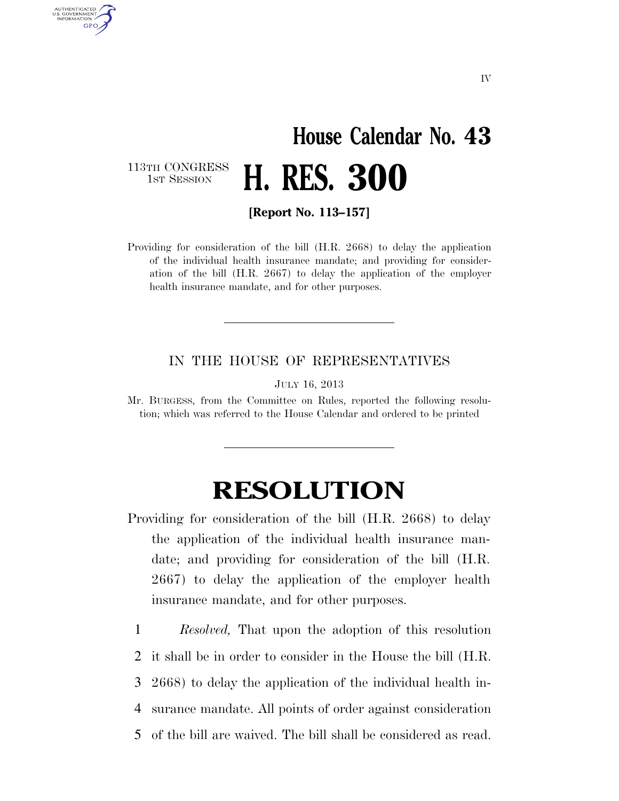## **House Calendar No. 43 H. RES. 300**

113TH CONGRESS<br>1st Session

AUTHENTICATED U.S. GOVERNMENT GPO

**[Report No. 113–157]** 

Providing for consideration of the bill (H.R. 2668) to delay the application of the individual health insurance mandate; and providing for consideration of the bill (H.R. 2667) to delay the application of the employer health insurance mandate, and for other purposes.

## IN THE HOUSE OF REPRESENTATIVES

JULY 16, 2013

Mr. BURGESS, from the Committee on Rules, reported the following resolution; which was referred to the House Calendar and ordered to be printed

## **RESOLUTION**

- Providing for consideration of the bill (H.R. 2668) to delay the application of the individual health insurance mandate; and providing for consideration of the bill (H.R. 2667) to delay the application of the employer health insurance mandate, and for other purposes.
	- 1 *Resolved,* That upon the adoption of this resolution
	- 2 it shall be in order to consider in the House the bill (H.R.
	- 3 2668) to delay the application of the individual health in-
	- 4 surance mandate. All points of order against consideration
	- 5 of the bill are waived. The bill shall be considered as read.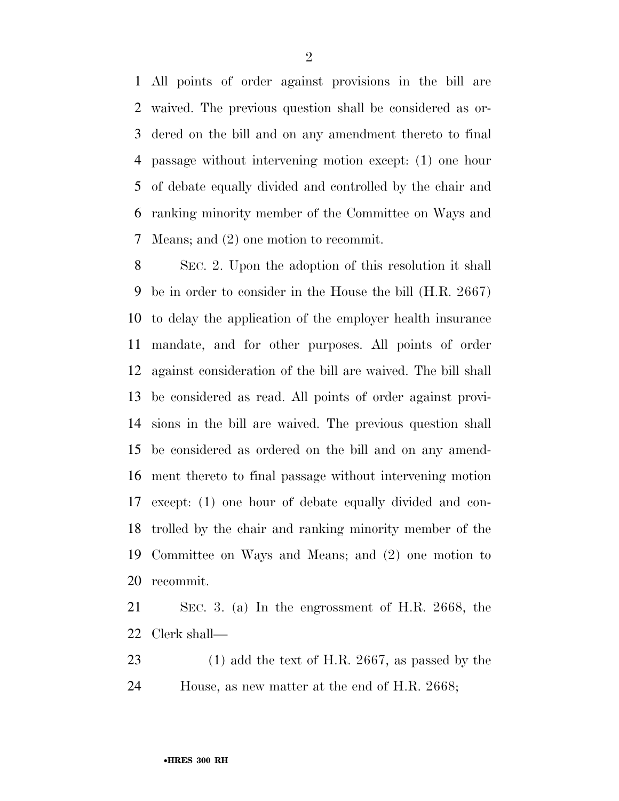All points of order against provisions in the bill are waived. The previous question shall be considered as or- dered on the bill and on any amendment thereto to final passage without intervening motion except: (1) one hour of debate equally divided and controlled by the chair and ranking minority member of the Committee on Ways and Means; and (2) one motion to recommit.

 SEC. 2. Upon the adoption of this resolution it shall be in order to consider in the House the bill (H.R. 2667) to delay the application of the employer health insurance mandate, and for other purposes. All points of order against consideration of the bill are waived. The bill shall be considered as read. All points of order against provi- sions in the bill are waived. The previous question shall be considered as ordered on the bill and on any amend- ment thereto to final passage without intervening motion except: (1) one hour of debate equally divided and con- trolled by the chair and ranking minority member of the Committee on Ways and Means; and (2) one motion to recommit.

 SEC. 3. (a) In the engrossment of H.R. 2668, the Clerk shall—

 (1) add the text of H.R. 2667, as passed by the House, as new matter at the end of H.R. 2668;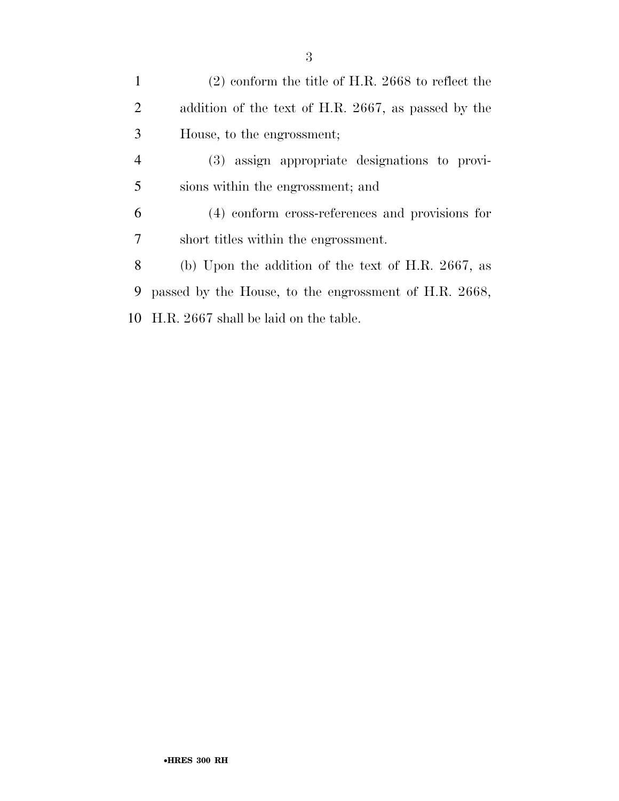(2) conform the title of H.R. 2668 to reflect the addition of the text of H.R. 2667, as passed by the House, to the engrossment; (3) assign appropriate designations to provi- sions within the engrossment; and (4) conform cross-references and provisions for short titles within the engrossment. (b) Upon the addition of the text of H.R. 2667, as passed by the House, to the engrossment of H.R. 2668, H.R. 2667 shall be laid on the table.